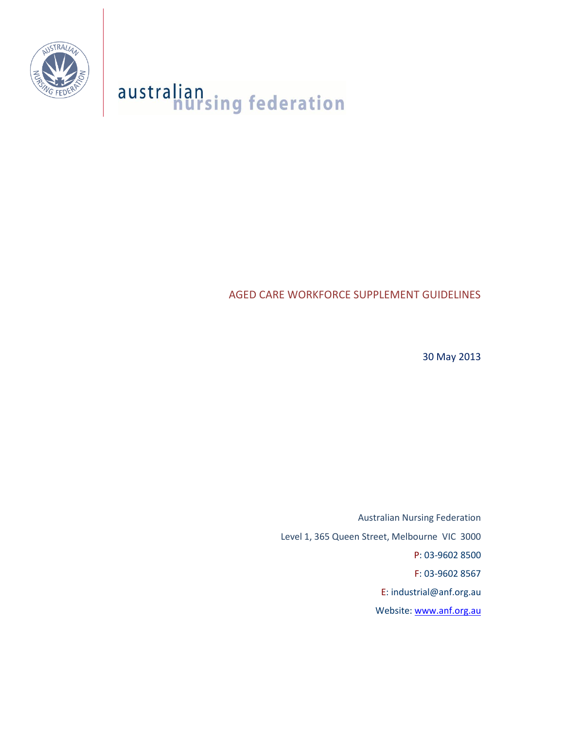

# australian<br>nursing federation

AGED CARE WORKFORCE SUPPLEMENT GUIDELINES

30 May 2013

Australian Nursing Federation Level 1, 365 Queen Street, Melbourne VIC 3000 P: 03-9602 8500 F: 03-9602 8567 E: industrial@anf.org.au Website: [www.anf.org.au](http://www.anf.org.au/)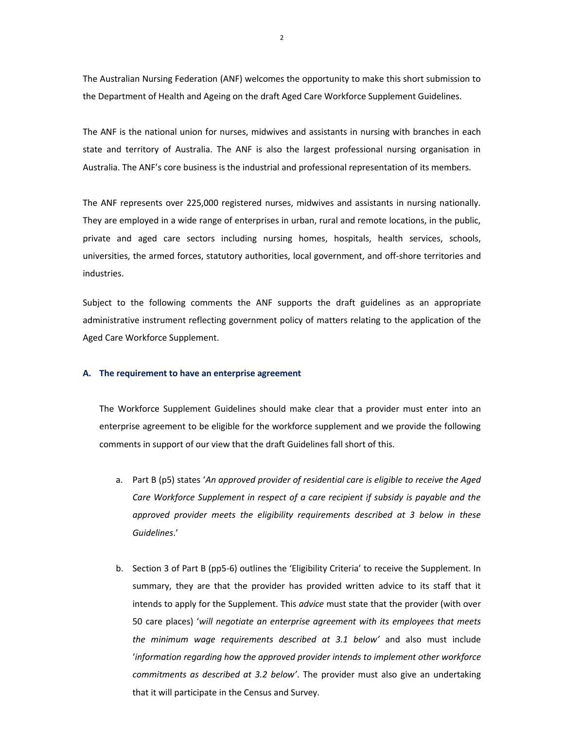The Australian Nursing Federation (ANF) welcomes the opportunity to make this short submission to the Department of Health and Ageing on the draft Aged Care Workforce Supplement Guidelines.

The ANF is the national union for nurses, midwives and assistants in nursing with branches in each state and territory of Australia. The ANF is also the largest professional nursing organisation in Australia. The ANF's core business is the industrial and professional representation of its members.

The ANF represents over 225,000 registered nurses, midwives and assistants in nursing nationally. They are employed in a wide range of enterprises in urban, rural and remote locations, in the public, private and aged care sectors including nursing homes, hospitals, health services, schools, universities, the armed forces, statutory authorities, local government, and off-shore territories and industries.

Subject to the following comments the ANF supports the draft guidelines as an appropriate administrative instrument reflecting government policy of matters relating to the application of the Aged Care Workforce Supplement.

#### **A. The requirement to have an enterprise agreement**

The Workforce Supplement Guidelines should make clear that a provider must enter into an enterprise agreement to be eligible for the workforce supplement and we provide the following comments in support of our view that the draft Guidelines fall short of this.

- a. Part B (p5) states '*An approved provider of residential care is eligible to receive the Aged Care Workforce Supplement in respect of a care recipient if subsidy is payable and the approved provider meets the eligibility requirements described at 3 below in these Guidelines*.'
- b. Section 3 of Part B (pp5-6) outlines the 'Eligibility Criteria' to receive the Supplement. In summary, they are that the provider has provided written advice to its staff that it intends to apply for the Supplement. This *advice* must state that the provider (with over 50 care places) '*will negotiate an enterprise agreement with its employees that meets the minimum wage requirements described at 3.1 below'* and also must include '*information regarding how the approved provider intends to implement other workforce commitments as described at 3.2 below'*. The provider must also give an undertaking that it will participate in the Census and Survey.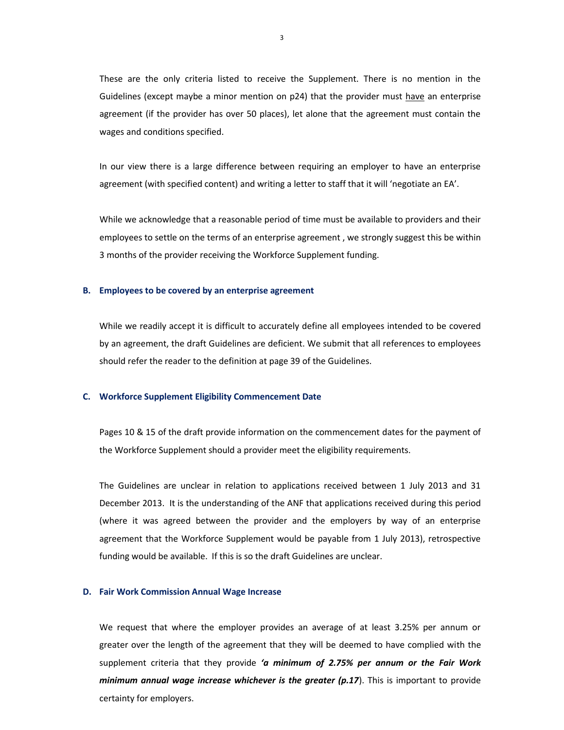These are the only criteria listed to receive the Supplement. There is no mention in the Guidelines (except maybe a minor mention on p24) that the provider must have an enterprise agreement (if the provider has over 50 places), let alone that the agreement must contain the wages and conditions specified.

In our view there is a large difference between requiring an employer to have an enterprise agreement (with specified content) and writing a letter to staff that it will 'negotiate an EA'.

While we acknowledge that a reasonable period of time must be available to providers and their employees to settle on the terms of an enterprise agreement , we strongly suggest this be within 3 months of the provider receiving the Workforce Supplement funding.

#### **B. Employees to be covered by an enterprise agreement**

While we readily accept it is difficult to accurately define all employees intended to be covered by an agreement, the draft Guidelines are deficient. We submit that all references to employees should refer the reader to the definition at page 39 of the Guidelines.

### **C. Workforce Supplement Eligibility Commencement Date**

Pages 10 & 15 of the draft provide information on the commencement dates for the payment of the Workforce Supplement should a provider meet the eligibility requirements.

The Guidelines are unclear in relation to applications received between 1 July 2013 and 31 December 2013. It is the understanding of the ANF that applications received during this period (where it was agreed between the provider and the employers by way of an enterprise agreement that the Workforce Supplement would be payable from 1 July 2013), retrospective funding would be available. If this is so the draft Guidelines are unclear.

#### **D. Fair Work Commission Annual Wage Increase**

We request that where the employer provides an average of at least 3.25% per annum or greater over the length of the agreement that they will be deemed to have complied with the supplement criteria that they provide *'a minimum of 2.75% per annum or the Fair Work minimum annual wage increase whichever is the greater (p.17).* This is important to provide certainty for employers.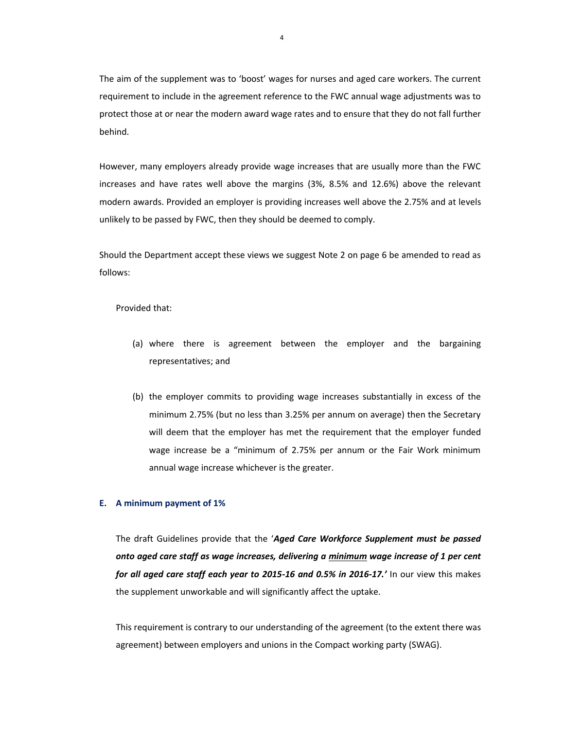The aim of the supplement was to 'boost' wages for nurses and aged care workers. The current requirement to include in the agreement reference to the FWC annual wage adjustments was to protect those at or near the modern award wage rates and to ensure that they do not fall further behind.

However, many employers already provide wage increases that are usually more than the FWC increases and have rates well above the margins (3%, 8.5% and 12.6%) above the relevant modern awards. Provided an employer is providing increases well above the 2.75% and at levels unlikely to be passed by FWC, then they should be deemed to comply.

Should the Department accept these views we suggest Note 2 on page 6 be amended to read as follows:

Provided that:

- (a) where there is agreement between the employer and the bargaining representatives; and
- (b) the employer commits to providing wage increases substantially in excess of the minimum 2.75% (but no less than 3.25% per annum on average) then the Secretary will deem that the employer has met the requirement that the employer funded wage increase be a "minimum of 2.75% per annum or the Fair Work minimum annual wage increase whichever is the greater.

#### **E. A minimum payment of 1%**

The draft Guidelines provide that the '*Aged Care Workforce Supplement must be passed onto aged care staff as wage increases, delivering a minimum wage increase of 1 per cent for all aged care staff each year to 2015-16 and 0.5% in 2016-17.'* In our view this makes the supplement unworkable and will significantly affect the uptake.

This requirement is contrary to our understanding of the agreement (to the extent there was agreement) between employers and unions in the Compact working party (SWAG).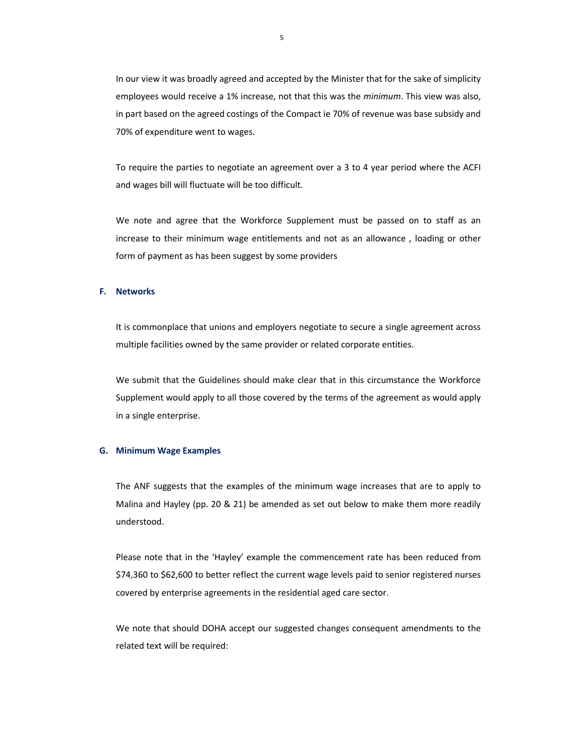In our view it was broadly agreed and accepted by the Minister that for the sake of simplicity employees would receive a 1% increase, not that this was the *minimum*. This view was also, in part based on the agreed costings of the Compact ie 70% of revenue was base subsidy and 70% of expenditure went to wages.

To require the parties to negotiate an agreement over a 3 to 4 year period where the ACFI and wages bill will fluctuate will be too difficult.

We note and agree that the Workforce Supplement must be passed on to staff as an increase to their minimum wage entitlements and not as an allowance , loading or other form of payment as has been suggest by some providers

#### **F. Networks**

It is commonplace that unions and employers negotiate to secure a single agreement across multiple facilities owned by the same provider or related corporate entities.

We submit that the Guidelines should make clear that in this circumstance the Workforce Supplement would apply to all those covered by the terms of the agreement as would apply in a single enterprise.

## **G. Minimum Wage Examples**

The ANF suggests that the examples of the minimum wage increases that are to apply to Malina and Hayley (pp. 20 & 21) be amended as set out below to make them more readily understood.

Please note that in the 'Hayley' example the commencement rate has been reduced from \$74,360 to \$62,600 to better reflect the current wage levels paid to senior registered nurses covered by enterprise agreements in the residential aged care sector.

We note that should DOHA accept our suggested changes consequent amendments to the related text will be required: